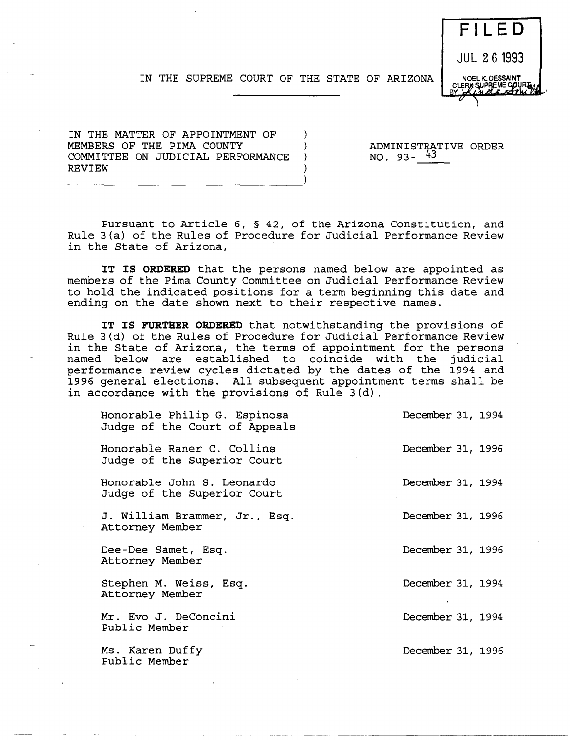

١. -) - 1

IN THE MATTER OF APPOINTMENT OF MEMBERS OF THE PIMA COUNTY COMMITTEE ON JUDICIAL PERFORMANCE REVIEW

ADMINISTRATIVE ORDER NO.  $93 - 43$ 

Pursuant to Article 6, § 42, of the Arizona Constitution, and Rule 3(a) of the Rules of Procedure for Judicial Performance Review in the State of Arizona,

**IT IS ORDERED** that the persons named below are appointed as members of the Pima County Committee on JUdicial Performance Review to hold the indicated positions for a term beginning this date and ending on the date shown next to their respective names.

**IT IS FURTHER ORDERED** that notwithstanding the provisions of Rule 3(d) of the Rules of Procedure for Judicial Performance Review in the State of Arizona, the terms of appointment for the persons named below are established to coincide with the judicial performance review cycles dictated by the dates of the 1994 and 1996 general elections. All subsequent appointment terms shall be in accordance with the provisions of Rule 3(d).

| Honorable Philip G. Espinosa<br>Judge of the Court of Appeals | December 31, 1994 |  |
|---------------------------------------------------------------|-------------------|--|
| Honorable Raner C. Collins<br>Judge of the Superior Court     | December 31, 1996 |  |
| Honorable John S. Leonardo<br>Judge of the Superior Court     | December 31, 1994 |  |
| J. William Brammer, Jr., Esq.<br>Attorney Member              | December 31, 1996 |  |
| Dee-Dee Samet, Esq.<br>Attorney Member                        | December 31, 1996 |  |
| Stephen M. Weiss, Esq.<br>Attorney Member                     | December 31, 1994 |  |
| Mr. Evo J. DeConcini<br>Public Member                         | December 31, 1994 |  |
| Ms. Karen Duffy<br>Public Member                              | December 31, 1996 |  |